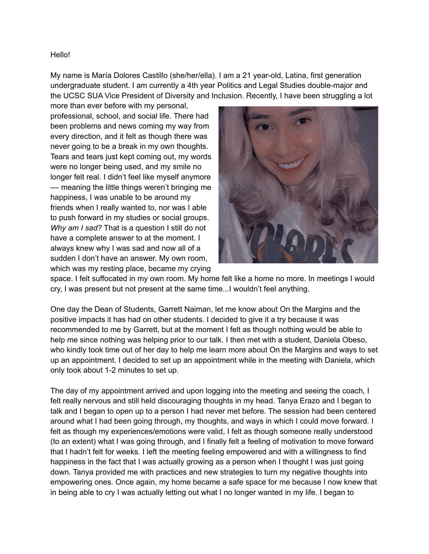## Hello!

My name is María Dolores Castillo (she/her/ella). I am a 21 year-old, Latina, first generation undergraduate student. I am currently a 4th year Politics and Legal Studies double-major and the UCSC SUA Vice President of Diversity and Inclusion. Recently, I have been struggling a lot

more than ever before with my personal, professional, school, and social life. There had been problems and news coming my way from every direction, and it felt as though there was never going to be a break in my own thoughts. Tears and tears just kept coming out, my words were no longer being used, and my smile no longer felt real. I didn't feel like myself anymore –– meaning the little things weren't bringing me happiness, I was unable to be around my friends when I really wanted to, nor was I able to push forward in my studies or social groups. *Why am I sad?* That is a question I still do not have a complete answer to at the moment. I always knew why I was sad and now all of a sudden I don't have an answer. My own room, which was my resting place, became my crying



space. I felt suffocated in my own room. My home felt like a home no more. In meetings I would cry, I was present but not present at the same time...I wouldn't feel anything.

One day the Dean of Students, Garrett Naiman, let me know about On the Margins and the positive impacts it has had on other students. I decided to give it a try because it was recommended to me by Garrett, but at the moment I felt as though nothing would be able to help me since nothing was helping prior to our talk. I then met with a student, Daniela Obeso, who kindly took time out of her day to help me learn more about On the Margins and ways to set up an appointment. I decided to set up an appointment while in the meeting with Daniela, which only took about 1-2 minutes to set up.

The day of my appointment arrived and upon logging into the meeting and seeing the coach, I felt really nervous and still held discouraging thoughts in my head. Tanya Erazo and I began to talk and I began to open up to a person I had never met before. The session had been centered around what I had been going through, my thoughts, and ways in which I could move forward. I felt as though my experiences/emotions were valid, I felt as though someone really understood (to an extent) what I was going through, and I finally felt a feeling of motivation to move forward that I hadn't felt for weeks. I left the meeting feeling empowered and with a willingness to find happiness in the fact that I was actually growing as a person when I thought I was just going down. Tanya provided me with practices and new strategies to turn my negative thoughts into empowering ones. Once again, my home became a safe space for me because I now knew that in being able to cry I was actually letting out what I no longer wanted in my life. I began to